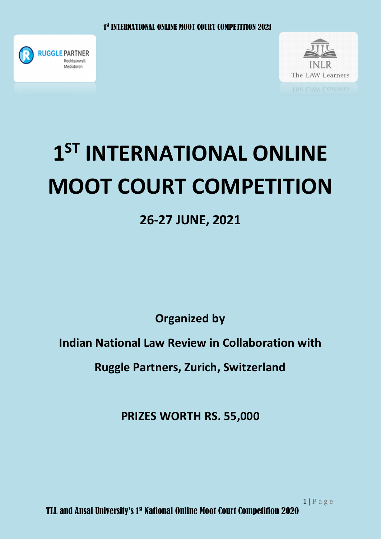



# **1 ST INTERNATIONAL ONLINE MOOT COURT COMPETITION**

## **26-27 JUNE, 2021**

**Organized by**

**Indian National Law Review in Collaboration with**

**Ruggle Partners, Zurich, Switzerland**

**PRIZES WORTH RS. 55,000**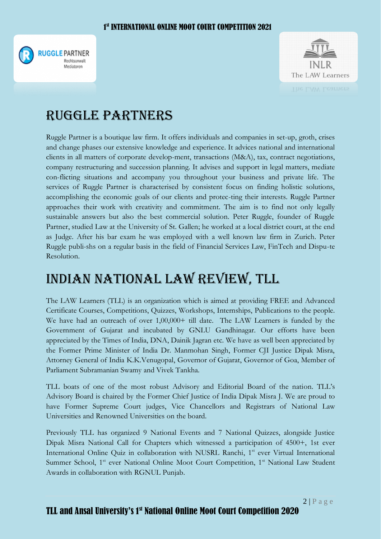



## Ruggle partners

Ruggle Partner is a boutique law firm. It offers individuals and companies in set-up, groth, crises and change phases our extensive knowledge and experience. It advices national and international clients in all matters of corporate develop-ment, transactions (M&A), tax, contract negotiations, company restructuring and succession planning. It advises and support in legal matters, mediate con-flicting situations and accompany you throughout your business and private life. The services of Ruggle Partner is characterised by consistent focus on finding holistic solutions, accomplishing the economic goals of our clients and protec-ting their interests. Ruggle Partner approaches their work with creativity and commitment. The aim is to find not only legally sustainable answers but also the best commercial solution. Peter Ruggle, founder of Ruggle Partner, studied Law at the University of St. Gallen; he worked at a local district court, at the end as Judge. After his bar exam he was employed with a well known law firm in Zurich. Peter Ruggle publi-shs on a regular basis in the field of Financial Services Law, FinTech and Dispu-te Resolution.

## INDIAN NATIONAL LAW REVIEW, TLL

The LAW Learners (TLL) is an organization which is aimed at providing FREE and Advanced Certificate Courses, Competitions, Quizzes, Workshops, Internships, Publications to the people. We have had an outreach of over 1,00,000+ till date. The LAW Learners is funded by the Government of Gujarat and incubated by GNLU Gandhinagar. Our efforts have been appreciated by the Times of India, DNA, Dainik Jagran etc. We have as well been appreciated by the Former Prime Minister of India Dr. Manmohan Singh, Former CJI Justice Dipak Misra, Attorney General of India K.K.Venugopal, Governor of Gujarat, Governor of Goa, Member of Parliament Subramanian Swamy and Vivek Tankha.

TLL boats of one of the most robust Advisory and Editorial Board of the nation. TLL's Advisory Board is chaired by the Former Chief Justice of India Dipak Misra J. We are proud to have Former Supreme Court judges, Vice Chancellors and Registrars of National Law Universities and Renowned Universities on the board.

Previously TLL has organized 9 National Events and 7 National Quizzes, alongside Justice Dipak Misra National Call for Chapters which witnessed a participation of 4500+, 1st ever International Online Quiz in collaboration with NUSRL Ranchi, 1<sup>st</sup> ever Virtual International Summer School, 1<sup>st</sup> ever National Online Moot Court Competition, 1<sup>st</sup> National Law Student Awards in collaboration with RGNUL Punjab.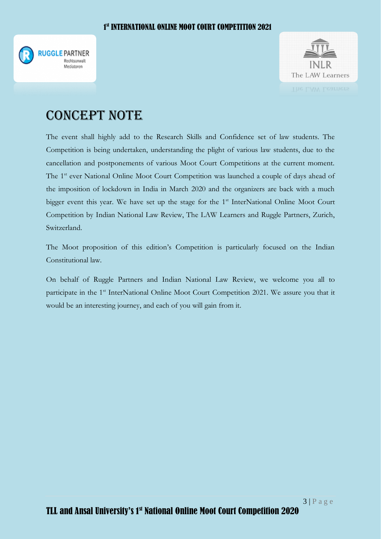



## CONCEPT NOTE

The event shall highly add to the Research Skills and Confidence set of law students. The Competition is being undertaken, understanding the plight of various law students, due to the cancellation and postponements of various Moot Court Competitions at the current moment. The 1<sup>st</sup> ever National Online Moot Court Competition was launched a couple of days ahead of the imposition of lockdown in India in March 2020 and the organizers are back with a much bigger event this year. We have set up the stage for the 1<sup>st</sup> InterNational Online Moot Court Competition by Indian National Law Review, The LAW Learners and Ruggle Partners, Zurich, Switzerland.

The Moot proposition of this edition's Competition is particularly focused on the Indian Constitutional law.

On behalf of Ruggle Partners and Indian National Law Review, we welcome you all to participate in the 1<sup>st</sup> InterNational Online Moot Court Competition 2021. We assure you that it would be an interesting journey, and each of you will gain from it.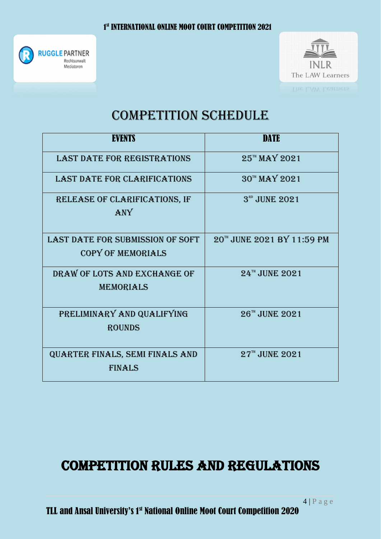



## COMPETITION SCHEDULE

| <b>EVENTS</b>                                                       | <b>DATE</b>                |
|---------------------------------------------------------------------|----------------------------|
| <b>LAST DATE FOR REGISTRATIONS</b>                                  | 25TH MAY 2021              |
| <b>LAST DATE FOR CLARIFICATIONS</b>                                 | 30TH MAY 2021              |
| RELEASE OF CLARIFICATIONS, IF<br>ANY                                | 3 <sup>RD</sup> JUNE 2021  |
| <b>LAST DATE FOR SUBMISSION OF SOFT</b><br><b>COPY OF MEMORIALS</b> | 20TH JUNE 2021 BY 11:59 PM |
| DRAW OF LOTS AND EXCHANGE OF<br>MEMORIALS                           | 24TH JUNE 2021             |
| PRELIMINARY AND QUALIFYING<br><b>ROUNDS</b>                         | $26^{\text{th}}$ JUNE 2021 |
| QUARTER FINALS, SEMI FINALS AND<br><b>FINALS</b>                    | $27^{\text{th}}$ JUNE 2021 |

## Competition rules and regulations

TLL and Ansal University's 1st National Online Moot Court Competition 2020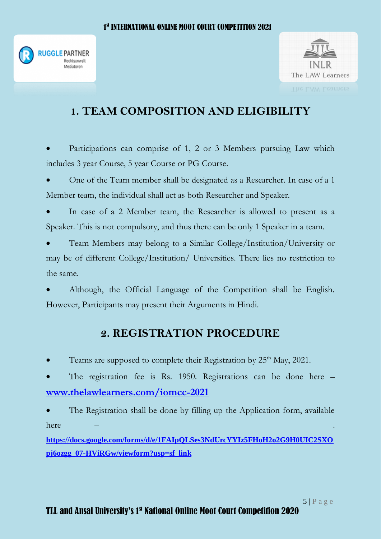



## **1. TEAM COMPOSITION AND ELIGIBILITY**

 Participations can comprise of 1, 2 or 3 Members pursuing Law which includes 3 year Course, 5 year Course or PG Course.

 One of the Team member shall be designated as a Researcher. In case of a 1 Member team, the individual shall act as both Researcher and Speaker.

 In case of a 2 Member team, the Researcher is allowed to present as a Speaker. This is not compulsory, and thus there can be only 1 Speaker in a team.

 Team Members may belong to a Similar College/Institution/University or may be of different College/Institution/ Universities. There lies no restriction to the same.

 Although, the Official Language of the Competition shall be English. However, Participants may present their Arguments in Hindi.

#### **2. REGISTRATION PROCEDURE**

• Teams are supposed to complete their Registration by 25<sup>th</sup> May, 2021.

 The registration fee is Rs. 1950. Registrations can be done here – **[www.thelawlearners.com/iomcc-2021](http://www.thelawlearners.com/iomcc-2021)** 

 The Registration shall be done by filling up the Application form, available here – .

**[https://docs.google.com/forms/d/e/1FAIpQLSes3NdUrcYYIz5FHoH2o2G9H0UIC2SXO](https://docs.google.com/forms/d/e/1FAIpQLSes3NdUrcYYIz5FHoH2o2G9H0UIC2SXOpj6ozgg_07-HViRGw/viewform?usp=sf_link) [pj6ozgg\\_07-HViRGw/viewform?usp=sf\\_link](https://docs.google.com/forms/d/e/1FAIpQLSes3NdUrcYYIz5FHoH2o2G9H0UIC2SXOpj6ozgg_07-HViRGw/viewform?usp=sf_link)**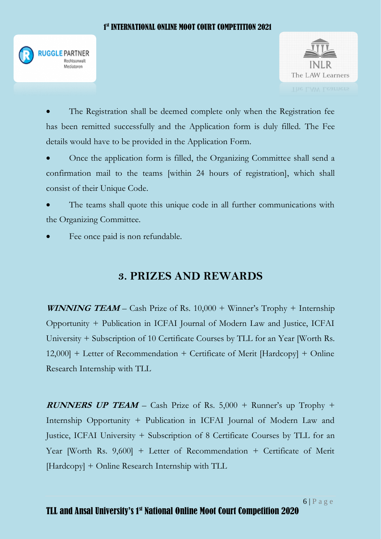#### 1. The state of the state  $1$ st INTERNATIONAL ONLINE MOOT COURT COMPETITION 2021





 The Registration shall be deemed complete only when the Registration fee has been remitted successfully and the Application form is duly filled. The Fee details would have to be provided in the Application Form.

 Once the application form is filled, the Organizing Committee shall send a confirmation mail to the teams [within 24 hours of registration], which shall consist of their Unique Code.

 The teams shall quote this unique code in all further communications with the Organizing Committee.

Fee once paid is non refundable.

#### **3. PRIZES AND REWARDS**

**WINNING TEAM** – Cash Prize of Rs. 10,000 + Winner's Trophy + Internship Opportunity + Publication in ICFAI Journal of Modern Law and Justice, ICFAI University + Subscription of 10 Certificate Courses by TLL for an Year [Worth Rs. 12,000] + Letter of Recommendation + Certificate of Merit [Hardcopy] + Online Research Internship with TLL

**RUNNERS UP TEAM** – Cash Prize of Rs. 5,000 + Runner's up Trophy + Internship Opportunity + Publication in ICFAI Journal of Modern Law and Justice, ICFAI University + Subscription of 8 Certificate Courses by TLL for an Year [Worth Rs. 9,600] + Letter of Recommendation + Certificate of Merit [Hardcopy] + Online Research Internship with TLL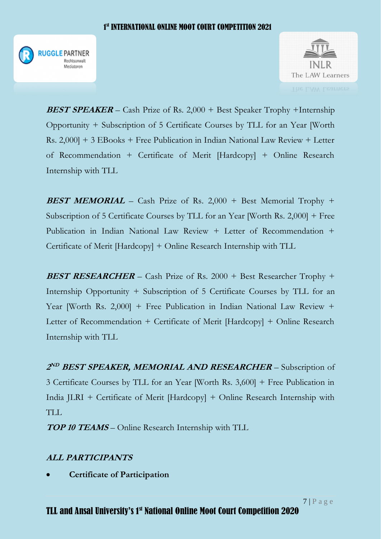



**BEST SPEAKER** – Cash Prize of Rs. 2,000 + Best Speaker Trophy +Internship Opportunity + Subscription of 5 Certificate Courses by TLL for an Year [Worth Rs. 2,000] + 3 EBooks + Free Publication in Indian National Law Review + Letter of Recommendation + Certificate of Merit [Hardcopy] + Online Research Internship with TLL

**BEST MEMORIAL** – Cash Prize of Rs. 2,000 + Best Memorial Trophy + Subscription of 5 Certificate Courses by TLL for an Year [Worth Rs. 2,000] + Free Publication in Indian National Law Review + Letter of Recommendation + Certificate of Merit [Hardcopy] + Online Research Internship with TLL

**BEST RESEARCHER** – Cash Prize of Rs. 2000 + Best Researcher Trophy + Internship Opportunity + Subscription of 5 Certificate Courses by TLL for an Year [Worth Rs. 2,000] + Free Publication in Indian National Law Review + Letter of Recommendation + Certificate of Merit [Hardcopy] + Online Research Internship with TLL

**2 ND BEST SPEAKER, MEMORIAL AND RESEARCHER** – Subscription of 3 Certificate Courses by TLL for an Year [Worth Rs. 3,600] + Free Publication in India JLRI + Certificate of Merit [Hardcopy] + Online Research Internship with TLL

**TOP 10 TEAMS** – Online Research Internship with TLL

#### **ALL PARTICIPANTS**

**Certificate of Participation**